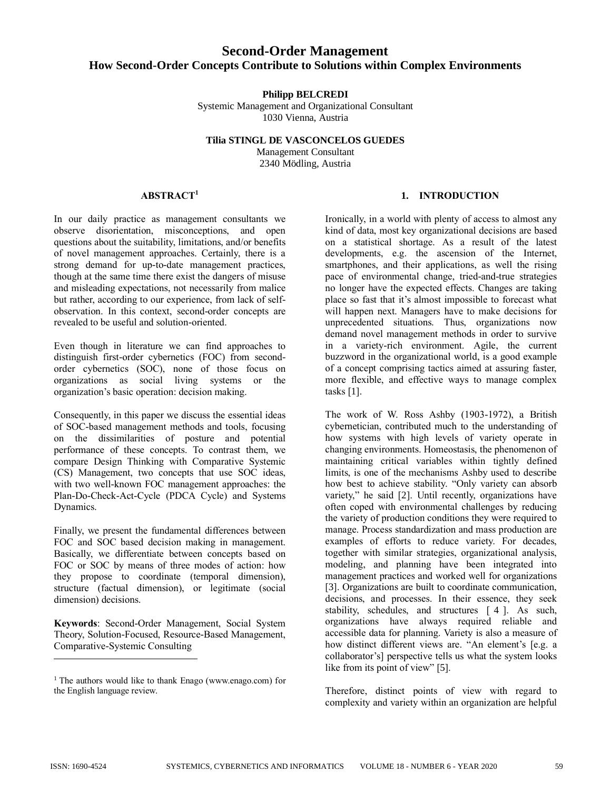# **Second-Order Management How Second-Order Concepts Contribute to Solutions within Complex Environments**

**Philipp BELCREDI**

Systemic Management and Organizational Consultant 1030 Vienna, Austria

**Tilia STINGL DE VASCONCELOS GUEDES** Management Consultant 2340 Mödling, Austria

## **ABSTRACT<sup>1</sup>**

In our daily practice as management consultants we observe disorientation, misconceptions, and open questions about the suitability, limitations, and/or benefits of novel management approaches. Certainly, there is a strong demand for up-to-date management practices, though at the same time there exist the dangers of misuse and misleading expectations, not necessarily from malice but rather, according to our experience, from lack of selfobservation. In this context, second-order concepts are revealed to be useful and solution-oriented.

Even though in literature we can find approaches to distinguish first-order cybernetics (FOC) from secondorder cybernetics (SOC), none of those focus on organizations as social living systems or the organization's basic operation: decision making.

Consequently, in this paper we discuss the essential ideas of SOC-based management methods and tools, focusing on the dissimilarities of posture and potential performance of these concepts. To contrast them, we compare Design Thinking with Comparative Systemic (CS) Management, two concepts that use SOC ideas, with two well-known FOC management approaches: the Plan-Do-Check-Act-Cycle (PDCA Cycle) and Systems Dynamics.

Finally, we present the fundamental differences between FOC and SOC based decision making in management. Basically, we differentiate between concepts based on FOC or SOC by means of three modes of action: how they propose to coordinate (temporal dimension), structure (factual dimension), or legitimate (social dimension) decisions.

**Keywords**: Second-Order Management, Social System Theory, Solution-Focused, Resource-Based Management, Comparative-Systemic Consulting

## **1. INTRODUCTION**

Ironically, in a world with plenty of access to almost any kind of data, most key organizational decisions are based on a statistical shortage. As a result of the latest developments, e.g. the ascension of the Internet, smartphones, and their applications, as well the rising pace of environmental change, tried-and-true strategies no longer have the expected effects. Changes are taking place so fast that it's almost impossible to forecast what will happen next. Managers have to make decisions for unprecedented situations. Thus, organizations now demand novel management methods in order to survive in a variety-rich environment. Agile, the current buzzword in the organizational world, is a good example of a concept comprising tactics aimed at assuring faster, more flexible, and effective ways to manage complex tasks [1].

The work of W. Ross Ashby (1903-1972), a British cybernetician, contributed much to the understanding of how systems with high levels of variety operate in changing environments. Homeostasis, the phenomenon of maintaining critical variables within tightly defined limits, is one of the mechanisms Ashby used to describe how best to achieve stability. "Only variety can absorb variety," he said [2]. Until recently, organizations have often coped with environmental challenges by reducing the variety of production conditions they were required to manage. Process standardization and mass production are examples of efforts to reduce variety. For decades, together with similar strategies, organizational analysis, modeling, and planning have been integrated into management practices and worked well for organizations [3]. Organizations are built to coordinate communication, decisions, and processes. In their essence, they seek stability, schedules, and structures [ 4 ]. As such, organizations have always required reliable and accessible data for planning. Variety is also a measure of how distinct different views are. "An element's [e.g. a collaborator's] perspective tells us what the system looks like from its point of view" [5].

Therefore, distinct points of view with regard to complexity and variety within an organization are helpful

 $1$  The authors would like to thank Enago (www.enago.com) for the English language review.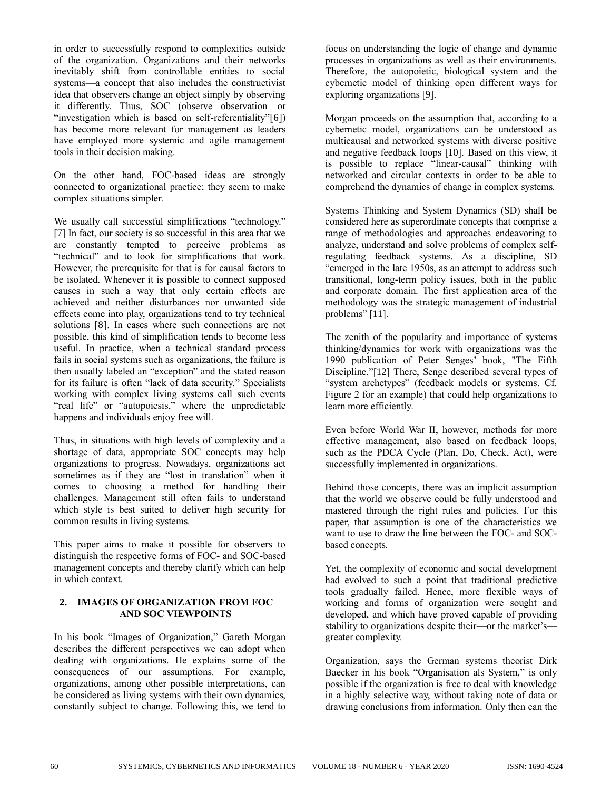in order to successfully respond to complexities outside of the organization. Organizations and their networks inevitably shift from controllable entities to social systems—a concept that also includes the constructivist idea that observers change an object simply by observing it differently. Thus, SOC (observe observation—or "investigation which is based on self-referentiality"[6]) has become more relevant for management as leaders have employed more systemic and agile management tools in their decision making.

On the other hand, FOC-based ideas are strongly connected to organizational practice; they seem to make complex situations simpler.

We usually call successful simplifications "technology." [7] In fact, our society is so successful in this area that we are constantly tempted to perceive problems as "technical" and to look for simplifications that work. However, the prerequisite for that is for causal factors to be isolated. Whenever it is possible to connect supposed causes in such a way that only certain effects are achieved and neither disturbances nor unwanted side effects come into play, organizations tend to try technical solutions [8]. In cases where such connections are not possible, this kind of simplification tends to become less useful. In practice, when a technical standard process fails in social systems such as organizations, the failure is then usually labeled an "exception" and the stated reason for its failure is often "lack of data security." Specialists working with complex living systems call such events "real life" or "autopoiesis," where the unpredictable happens and individuals enjoy free will.

Thus, in situations with high levels of complexity and a shortage of data, appropriate SOC concepts may help organizations to progress. Nowadays, organizations act sometimes as if they are "lost in translation" when it comes to choosing a method for handling their challenges. Management still often fails to understand which style is best suited to deliver high security for common results in living systems.

This paper aims to make it possible for observers to distinguish the respective forms of FOC- and SOC-based management concepts and thereby clarify which can help in which context.

#### **2. IMAGES OF ORGANIZATION FROM FOC AND SOC VIEWPOINTS**

In his book "Images of Organization," Gareth Morgan describes the different perspectives we can adopt when dealing with organizations. He explains some of the consequences of our assumptions. For example, organizations, among other possible interpretations, can be considered as living systems with their own dynamics, constantly subject to change. Following this, we tend to

focus on understanding the logic of change and dynamic processes in organizations as well as their environments. Therefore, the autopoietic, biological system and the cybernetic model of thinking open different ways for exploring organizations [9].

Morgan proceeds on the assumption that, according to a cybernetic model, organizations can be understood as multicausal and networked systems with diverse positive and negative feedback loops [10]. Based on this view, it is possible to replace "linear-causal" thinking with networked and circular contexts in order to be able to comprehend the dynamics of change in complex systems.

Systems Thinking and System Dynamics (SD) shall be considered here as superordinate concepts that comprise a range of methodologies and approaches endeavoring to analyze, understand and solve problems of complex selfregulating feedback systems. As a discipline, SD "emerged in the late 1950s, as an attempt to address such transitional, long-term policy issues, both in the public and corporate domain. The first application area of the methodology was the strategic management of industrial problems" [11].

The zenith of the popularity and importance of systems thinking/dynamics for work with organizations was the 1990 publication of Peter Senges' book, "The Fifth Discipline."[12] There, Senge described several types of "system archetypes" (feedback models or systems. Cf. Figure 2 for an example) that could help organizations to learn more efficiently.

Even before World War II, however, methods for more effective management, also based on feedback loops, such as the PDCA Cycle (Plan, Do, Check, Act), were successfully implemented in organizations.

Behind those concepts, there was an implicit assumption that the world we observe could be fully understood and mastered through the right rules and policies. For this paper, that assumption is one of the characteristics we want to use to draw the line between the FOC- and SOCbased concepts.

Yet, the complexity of economic and social development had evolved to such a point that traditional predictive tools gradually failed. Hence, more flexible ways of working and forms of organization were sought and developed, and which have proved capable of providing stability to organizations despite their—or the market's greater complexity.

Organization, says the German systems theorist Dirk Baecker in his book "Organisation als System," is only possible if the organization is free to deal with knowledge in a highly selective way, without taking note of data or drawing conclusions from information. Only then can the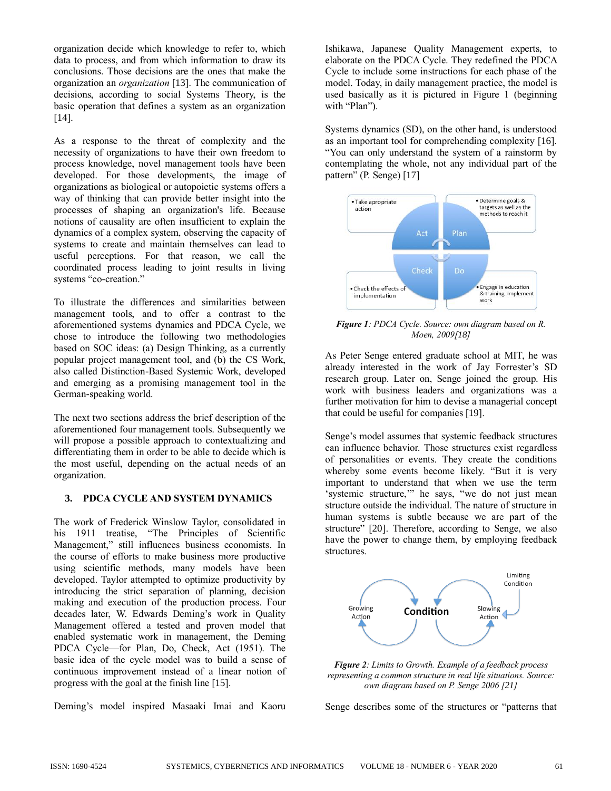organization decide which knowledge to refer to, which data to process, and from which information to draw its conclusions. Those decisions are the ones that make the organization an *organization* [13]. The communication of decisions, according to social Systems Theory, is the basic operation that defines a system as an organization [14].

As a response to the threat of complexity and the necessity of organizations to have their own freedom to process knowledge, novel management tools have been developed. For those developments, the image of organizations as biological or autopoietic systems offers a way of thinking that can provide better insight into the processes of shaping an organization's life. Because notions of causality are often insufficient to explain the dynamics of a complex system, observing the capacity of systems to create and maintain themselves can lead to useful perceptions. For that reason, we call the coordinated process leading to joint results in living systems "co-creation."

To illustrate the differences and similarities between management tools, and to offer a contrast to the aforementioned systems dynamics and PDCA Cycle, we chose to introduce the following two methodologies based on SOC ideas: (a) Design Thinking, as a currently popular project management tool, and (b) the CS Work, also called Distinction-Based Systemic Work, developed and emerging as a promising management tool in the German-speaking world.

The next two sections address the brief description of the aforementioned four management tools. Subsequently we will propose a possible approach to contextualizing and differentiating them in order to be able to decide which is the most useful, depending on the actual needs of an organization.

#### **3. PDCA CYCLE AND SYSTEM DYNAMICS**

The work of Frederick Winslow Taylor, consolidated in his 1911 treatise, "The Principles of Scientific Management," still influences business economists. In the course of efforts to make business more productive using scientific methods, many models have been developed. Taylor attempted to optimize productivity by introducing the strict separation of planning, decision making and execution of the production process. Four decades later, W. Edwards Deming's work in Quality Management offered a tested and proven model that enabled systematic work in management, the Deming PDCA Cycle—for Plan, Do, Check, Act (1951). The basic idea of the cycle model was to build a sense of continuous improvement instead of a linear notion of progress with the goal at the finish line [15].

Deming's model inspired Masaaki Imai and Kaoru

Ishikawa, Japanese Quality Management experts, to elaborate on the PDCA Cycle. They redefined the PDCA Cycle to include some instructions for each phase of the model. Today, in daily management practice, the model is used basically as it is pictured in Figure 1 (beginning with "Plan").

Systems dynamics (SD), on the other hand, is understood as an important tool for comprehending complexity [16]. "You can only understand the system of a rainstorm by contemplating the whole, not any individual part of the pattern" (P. Senge) [17]



*Figure 1: PDCA Cycle. Source: own diagram based on R. Moen, 2009[18]*

As Peter Senge entered graduate school at MIT, he was already interested in the work of Jay Forrester's SD research group. Later on, Senge joined the group. His work with business leaders and organizations was a further motivation for him to devise a managerial concept that could be useful for companies [19].

Senge's model assumes that systemic feedback structures can influence behavior. Those structures exist regardless of personalities or events. They create the conditions whereby some events become likely. "But it is very important to understand that when we use the term 'systemic structure,'" he says, "we do not just mean structure outside the individual. The nature of structure in human systems is subtle because we are part of the structure" [20]. Therefore, according to Senge, we also have the power to change them, by employing feedback structures.



*Figure 2: Limits to Growth. Example of a feedback process representing a common structure in real life situations. Source: own diagram based on P. Senge 2006 [21]*

Senge describes some of the structures or "patterns that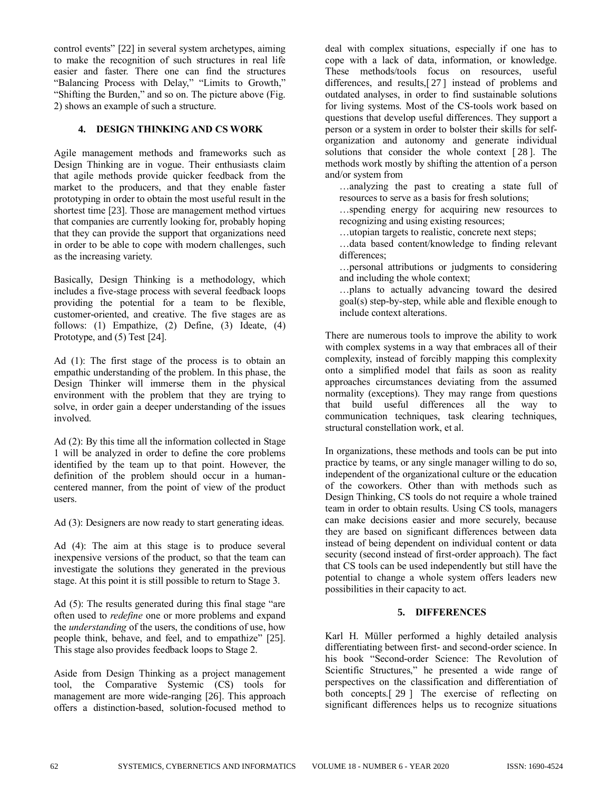control events" [22] in several system archetypes, aiming to make the recognition of such structures in real life easier and faster. There one can find the structures "Balancing Process with Delay," "Limits to Growth," "Shifting the Burden," and so on. The picture above (Fig. 2) shows an example of such a structure.

#### **4. DESIGN THINKING AND CS WORK**

Agile management methods and frameworks such as Design Thinking are in vogue. Their enthusiasts claim that agile methods provide quicker feedback from the market to the producers, and that they enable faster prototyping in order to obtain the most useful result in the shortest time [23]. Those are management method virtues that companies are currently looking for, probably hoping that they can provide the support that organizations need in order to be able to cope with modern challenges, such as the increasing variety.

Basically, Design Thinking is a methodology, which includes a five-stage process with several feedback loops providing the potential for a team to be flexible, customer-oriented, and creative. The five stages are as follows: (1) Empathize, (2) Define, (3) Ideate, (4) Prototype, and (5) Test [24].

Ad (1): The first stage of the process is to obtain an empathic understanding of the problem. In this phase, the Design Thinker will immerse them in the physical environment with the problem that they are trying to solve, in order gain a deeper understanding of the issues involved.

Ad (2): By this time all the information collected in Stage 1 will be analyzed in order to define the core problems identified by the team up to that point. However, the definition of the problem should occur in a humancentered manner, from the point of view of the product users.

Ad (3): Designers are now ready to start generating ideas.

Ad (4): The aim at this stage is to produce several inexpensive versions of the product, so that the team can investigate the solutions they generated in the previous stage. At this point it is still possible to return to Stage 3.

Ad (5): The results generated during this final stage "are often used to *redefine* one or more problems and expand the *understanding* of the users, the conditions of use, how people think, behave, and feel, and to empathize" [25]. This stage also provides feedback loops to Stage 2.

Aside from Design Thinking as a project management tool, the Comparative Systemic (CS) tools for management are more wide-ranging [26]. This approach offers a distinction-based, solution-focused method to

deal with complex situations, especially if one has to cope with a lack of data, information, or knowledge. These methods/tools focus on resources, useful differences, and results,[ 27 ] instead of problems and outdated analyses, in order to find sustainable solutions for living systems. Most of the CS-tools work based on questions that develop useful differences. They support a person or a system in order to bolster their skills for selforganization and autonomy and generate individual solutions that consider the whole context [ 28 ]. The methods work mostly by shifting the attention of a person and/or system from

…analyzing the past to creating a state full of resources to serve as a basis for fresh solutions;

…spending energy for acquiring new resources to recognizing and using existing resources;

…utopian targets to realistic, concrete next steps;

…data based content/knowledge to finding relevant differences;

…personal attributions or judgments to considering and including the whole context;

…plans to actually advancing toward the desired goal(s) step-by-step, while able and flexible enough to include context alterations.

There are numerous tools to improve the ability to work with complex systems in a way that embraces all of their complexity, instead of forcibly mapping this complexity onto a simplified model that fails as soon as reality approaches circumstances deviating from the assumed normality (exceptions). They may range from questions that build useful differences all the way to communication techniques, task clearing techniques, structural constellation work, et al.

In organizations, these methods and tools can be put into practice by teams, or any single manager willing to do so, independent of the organizational culture or the education of the coworkers. Other than with methods such as Design Thinking, CS tools do not require a whole trained team in order to obtain results. Using CS tools, managers can make decisions easier and more securely, because they are based on significant differences between data instead of being dependent on individual content or data security (second instead of first-order approach). The fact that CS tools can be used independently but still have the potential to change a whole system offers leaders new possibilities in their capacity to act.

## **5. DIFFERENCES**

Karl H. Müller performed a highly detailed analysis differentiating between first- and second-order science. In his book "Second-order Science: The Revolution of Scientific Structures," he presented a wide range of perspectives on the classification and differentiation of both concepts.[ 29 ] The exercise of reflecting on significant differences helps us to recognize situations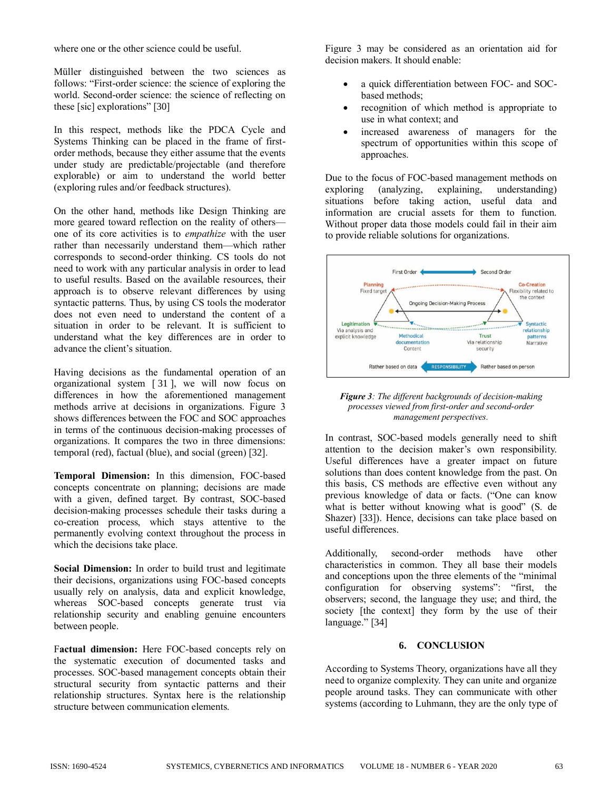where one or the other science could be useful.

Müller distinguished between the two sciences as follows: "First-order science: the science of exploring the world. Second-order science: the science of reflecting on these [sic] explorations" [30]

In this respect, methods like the PDCA Cycle and Systems Thinking can be placed in the frame of firstorder methods, because they either assume that the events under study are predictable/projectable (and therefore explorable) or aim to understand the world better (exploring rules and/or feedback structures).

On the other hand, methods like Design Thinking are more geared toward reflection on the reality of others one of its core activities is to *empathize* with the user rather than necessarily understand them—which rather corresponds to second-order thinking. CS tools do not need to work with any particular analysis in order to lead to useful results. Based on the available resources, their approach is to observe relevant differences by using syntactic patterns. Thus, by using CS tools the moderator does not even need to understand the content of a situation in order to be relevant. It is sufficient to understand what the key differences are in order to advance the client's situation.

Having decisions as the fundamental operation of an organizational system [ 31 ], we will now focus on differences in how the aforementioned management methods arrive at decisions in organizations. Figure 3 shows differences between the FOC and SOC approaches in terms of the continuous decision-making processes of organizations. It compares the two in three dimensions: temporal (red), factual (blue), and social (green) [32].

**Temporal Dimension:** In this dimension, FOC-based concepts concentrate on planning; decisions are made with a given, defined target. By contrast, SOC-based decision-making processes schedule their tasks during a co-creation process, which stays attentive to the permanently evolving context throughout the process in which the decisions take place.

**Social Dimension:** In order to build trust and legitimate their decisions, organizations using FOC-based concepts usually rely on analysis, data and explicit knowledge, whereas SOC-based concepts generate trust via relationship security and enabling genuine encounters between people.

F**actual dimension:** Here FOC-based concepts rely on the systematic execution of documented tasks and processes. SOC-based management concepts obtain their structural security from syntactic patterns and their relationship structures. Syntax here is the relationship structure between communication elements.

Figure 3 may be considered as an orientation aid for decision makers. It should enable:

- a quick differentiation between FOC- and SOCbased methods;
- recognition of which method is appropriate to use in what context; and
- increased awareness of managers for the spectrum of opportunities within this scope of approaches.

Due to the focus of FOC-based management methods on exploring (analyzing, explaining, understanding) situations before taking action, useful data and information are crucial assets for them to function. Without proper data those models could fail in their aim to provide reliable solutions for organizations.



*Figure 3: The different backgrounds of decision-making processes viewed from first-order and second-order management perspectives.*

In contrast, SOC-based models generally need to shift attention to the decision maker's own responsibility. Useful differences have a greater impact on future solutions than does content knowledge from the past. On this basis, CS methods are effective even without any previous knowledge of data or facts. ("One can know what is better without knowing what is good" (S. de Shazer) [33]). Hence, decisions can take place based on useful differences.

Additionally, second-order methods have other characteristics in common. They all base their models and conceptions upon the three elements of the "minimal configuration for observing systems": "first, the observers; second, the language they use; and third, the society [the context] they form by the use of their language." [34]

## **6. CONCLUSION**

According to Systems Theory, organizations have all they need to organize complexity. They can unite and organize people around tasks. They can communicate with other systems (according to Luhmann, they are the only type of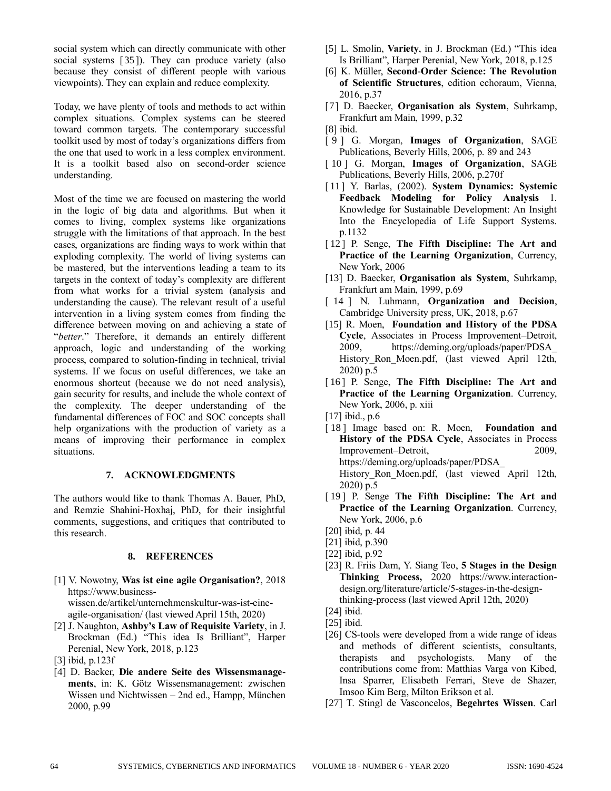social system which can directly communicate with other social systems [35]). They can produce variety (also because they consist of different people with various viewpoints). They can explain and reduce complexity.

Today, we have plenty of tools and methods to act within complex situations. Complex systems can be steered toward common targets. The contemporary successful toolkit used by most of today's organizations differs from the one that used to work in a less complex environment. It is a toolkit based also on second-order science understanding.

Most of the time we are focused on mastering the world in the logic of big data and algorithms. But when it comes to living, complex systems like organizations struggle with the limitations of that approach. In the best cases, organizations are finding ways to work within that exploding complexity. The world of living systems can be mastered, but the interventions leading a team to its targets in the context of today's complexity are different from what works for a trivial system (analysis and understanding the cause). The relevant result of a useful intervention in a living system comes from finding the difference between moving on and achieving a state of "*better*." Therefore, it demands an entirely different approach, logic and understanding of the working process, compared to solution-finding in technical, trivial systems. If we focus on useful differences, we take an enormous shortcut (because we do not need analysis), gain security for results, and include the whole context of the complexity. The deeper understanding of the fundamental differences of FOC and SOC concepts shall help organizations with the production of variety as a means of improving their performance in complex situations.

#### **7. ACKNOWLEDGMENTS**

The authors would like to thank Thomas A. Bauer, PhD, and Remzie Shahini-Hoxhaj, PhD, for their insightful comments, suggestions, and critiques that contributed to this research.

#### **8. REFERENCES**

- [1] V. Nowotny, **Was ist eine agile Organisation?**, 2018 https://www.businesswissen.de/artikel/unternehmenskultur-was-ist-eineagile-organisation/ (last viewed April 15th, 2020)
- [2] J. Naughton, **Ashby's Law of Requisite Variety**, in J. Brockman (Ed.) "This idea Is Brilliant", Harper Perenial, New York, 2018, p.123
- [3] ibid, p.123f
- [4] D. Backer, **Die andere Seite des Wissensmanagements**, in: K. Götz Wissensmanagement: zwischen Wissen und Nichtwissen – 2nd ed., Hampp, München 2000, p.99
- [5] L. Smolin, **Variety**, in J. Brockman (Ed.) "This idea Is Brilliant", Harper Perenial, New York, 2018, p.125
- [6] K. Müller, **Second-Order Science: The Revolution of Scientific Structures**, edition echoraum, Vienna, 2016, p.37
- [7] D. Baecker, **Organisation als System**, Suhrkamp, Frankfurt am Main, 1999, p.32

- [ 9 ] G. Morgan, **Images of Organization**, SAGE Publications, Beverly Hills, 2006, p. 89 and 243
- [ 10 ] G. Morgan, **Images of Organization**, SAGE Publications, Beverly Hills, 2006, p.270f
- [ 11 ] Y. Barlas, (2002). **System Dynamics: Systemic Feedback Modeling for Policy Analysis** 1. Knowledge for Sustainable Development: An Insight Into the Encyclopedia of Life Support Systems. p.1132
- [12] P. Senge, **The Fifth Discipline: The Art and Practice of the Learning Organization**, Currency, New York, 2006
- [13] D. Baecker, **Organisation als System**, Suhrkamp, Frankfurt am Main, 1999, p.69
- [ 14 ] N. Luhmann, **Organization and Decision**, Cambridge University press, UK, 2018, p.67
- [15] R. Moen, **Foundation and History of the PDSA Cycle**, Associates in Process Improvement–Detroit, 2009, https://deming.org/uploads/paper/PDSA\_ History\_Ron\_Moen.pdf, (last viewed April 12th, 2020) p.5
- [16] P. Senge, **The Fifth Discipline: The Art and Practice of the Learning Organization**. Currency, New York, 2006, p. xiii

- [18] Image based on: R. Moen, **Foundation and History of the PDSA Cycle**, Associates in Process Improvement–Detroit, 2009, https://deming.org/uploads/paper/PDSA\_ History\_Ron\_Moen.pdf, (last viewed April 12th, 2020) p.5
- [ 19 ] P. Senge **The Fifth Discipline: The Art and Practice of the Learning Organization**. Currency, New York, 2006, p.6
- [20] ibid, p. 44
- [21] ibid, p.390
- [22] ibid, p.92
- [23] R. Friis Dam, Y. Siang Teo, **5 Stages in the Design Thinking Process,** 2020 https://www.interactiondesign.org/literature/article/5-stages-in-the-designthinking-process (last viewed April 12th, 2020)
- [24] ibid.
- [25] ibid.
- [26] CS-tools were developed from a wide range of ideas and methods of different scientists, consultants, therapists and psychologists. Many of the contributions come from: Matthias Varga von Kibed, Insa Sparrer, Elisabeth Ferrari, Steve de Shazer, Imsoo Kim Berg, Milton Erikson et al.
- [27] T. Stingl de Vasconcelos, **Begehrtes Wissen**. Carl

<sup>[8]</sup> ibid.

<sup>[17]</sup> ibid., p.6